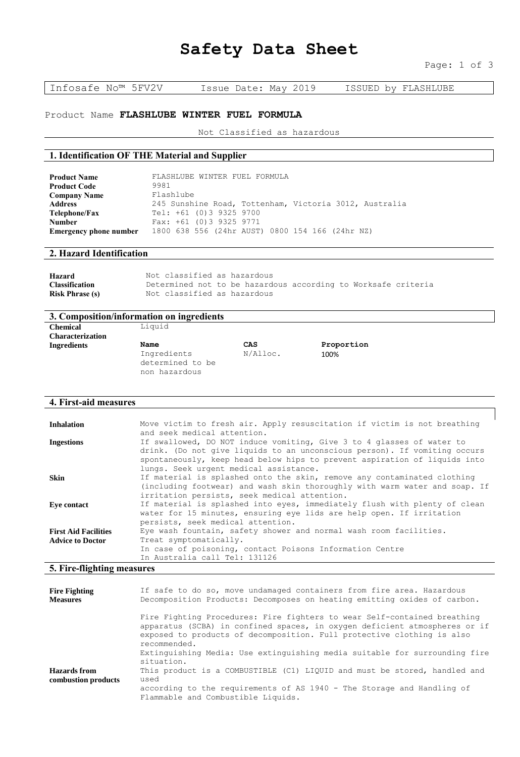# **Safety Data Sheet**

Infosafe No™ 5FV2V Issue Date: May 2019 ISSUED by FLASHLUBE

# Product Name **FLASHLUBE WINTER FUEL FORMULA**

Not Classified as hazardous

### **1. Identification OF THE Material and Supplier**

| <b>Product Name</b>           | FLASHLUBE WINTER FUEL FORMULA                          |
|-------------------------------|--------------------------------------------------------|
| <b>Product Code</b>           | 9981                                                   |
| <b>Company Name</b>           | Flashlube                                              |
| Address                       | 245 Sunshine Road, Tottenham, Victoria 3012, Australia |
| Telephone/Fax                 | Tel: +61 (0) 3 9325 9700                               |
| Number                        | Fax: $+61$ (0) 3 9325 9771                             |
| <b>Emergency phone number</b> | 1800 638 556 (24hr AUST) 0800 154 166 (24hr NZ)        |

# **2. Hazard Identification**

| Hazard                 | Not classified as hazardous                                   |  |  |  |
|------------------------|---------------------------------------------------------------|--|--|--|
| <b>Classification</b>  | Determined not to be hazardous according to Worksafe criteria |  |  |  |
| <b>Risk Phrase (s)</b> | Not classified as hazardous                                   |  |  |  |

### **3. Composition/information on ingredients**

| <b>Chemical</b>         | Liquid           |          |            |  |
|-------------------------|------------------|----------|------------|--|
| <b>Characterization</b> |                  |          |            |  |
| <b>Ingredients</b>      | Name             | CAS      | Proportion |  |
|                         | Ingredients      | N/Alloc. | 100%       |  |
|                         | determined to be |          |            |  |
|                         | non hazardous    |          |            |  |

#### **4. First-aid measures**

| <b>Inhalation</b>                                      | Move victim to fresh air. Apply resuscitation if victim is not breathing<br>and seek medical attention.                                                                                                                                                                   |
|--------------------------------------------------------|---------------------------------------------------------------------------------------------------------------------------------------------------------------------------------------------------------------------------------------------------------------------------|
| <b>Ingestions</b>                                      | If swallowed, DO NOT induce vomiting, Give 3 to 4 glasses of water to<br>drink. (Do not give liquids to an unconscious person). If vomiting occurs<br>spontaneously, keep head below hips to prevent aspiration of liquids into<br>lungs. Seek urgent medical assistance. |
| Skin                                                   | If material is splashed onto the skin, remove any contaminated clothing<br>(including footwear) and wash skin thoroughly with warm water and soap. If<br>irritation persists, seek medical attention.                                                                     |
| Eve contact                                            | If material is splashed into eyes, immediately flush with plenty of clean<br>water for 15 minutes, ensuring eye lids are help open. If irritation<br>persists, seek medical attention.                                                                                    |
| <b>First Aid Facilities</b><br><b>Advice to Doctor</b> | Eye wash fountain, safety shower and normal wash room facilities.<br>Treat symptomatically.<br>In case of poisoning, contact Poisons Information Centre<br>In Australia call Tel: 131126                                                                                  |

#### **5. Fire-flighting measures**

| <b>Fire Fighting</b><br><b>Measures</b> | If safe to do so, move undamaged containers from fire area. Hazardous<br>Decomposition Products: Decomposes on heating emitting oxides of carbon.                                                                                                |
|-----------------------------------------|--------------------------------------------------------------------------------------------------------------------------------------------------------------------------------------------------------------------------------------------------|
|                                         | Fire Fighting Procedures: Fire fighters to wear Self-contained breathing<br>apparatus (SCBA) in confined spaces, in oxygen deficient atmospheres or if<br>exposed to products of decomposition. Full protective clothing is also<br>recommended. |
|                                         | Extinguishing Media: Use extinguishing media suitable for surrounding fire<br>situation.                                                                                                                                                         |
| Hazards from<br>combustion products     | This product is a COMBUSTIBLE (C1) LIOUID and must be stored, handled and<br>used                                                                                                                                                                |
|                                         | according to the requirements of AS 1940 - The Storage and Handling of<br>Flammable and Combustible Liquids.                                                                                                                                     |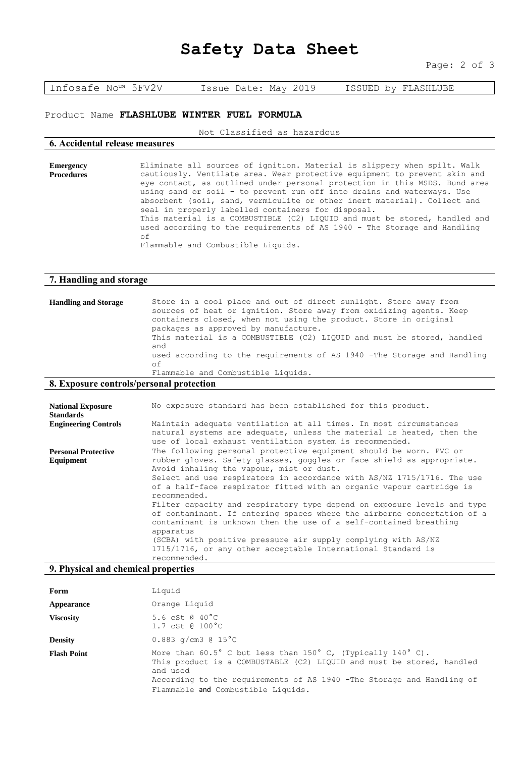# **Safety Data Sheet**

Page: 2 of 3

Infosafe No™ 5FV2V Issue Date: May 2019 ISSUED by FLASHLUBE

#### Product Name **FLASHLUBE WINTER FUEL FORMULA**

Not Classified as hazardous

#### **6. Accidental release measures**

**Emergency Procedures** Eliminate all sources of ignition. Material is slippery when spilt. Walk cautiously. Ventilate area. Wear protective equipment to prevent skin and eye contact, as outlined under personal protection in this MSDS. Bund area using sand or soil - to prevent run off into drains and waterways. Use absorbent (soil, sand, vermiculite or other inert material). Collect and seal in properly labelled containers for disposal. This material is a COMBUSTIBLE (C2) LIQUID and must be stored, handled and used according to the requirements of AS 1940 - The Storage and Handling of Flammable and Combustible Liquids.

#### **7. Handling and storage**

| <b>Handling and Storage</b> | Store in a cool place and out of direct sunlight. Store away from<br>sources of heat or ignition. Store away from oxidizing agents. Keep<br>containers closed, when not using the product. Store in original<br>packages as approved by manufacture.<br>This material is a COMBUSTIBLE (C2) LIQUID and must be stored, handled<br>and<br>used according to the requirements of AS 1940 -The Storage and Handling<br>оf |
|-----------------------------|------------------------------------------------------------------------------------------------------------------------------------------------------------------------------------------------------------------------------------------------------------------------------------------------------------------------------------------------------------------------------------------------------------------------|
|                             | Flammable and Combustible Liquids.                                                                                                                                                                                                                                                                                                                                                                                     |

#### **8. Exposure controls/personal protection**

| <b>National Exposure</b><br><b>Standards</b> | No exposure standard has been established for this product.                                                                                                                                                                                                                                                                                                                                                                                                                                                                                                                                                                                                  |
|----------------------------------------------|--------------------------------------------------------------------------------------------------------------------------------------------------------------------------------------------------------------------------------------------------------------------------------------------------------------------------------------------------------------------------------------------------------------------------------------------------------------------------------------------------------------------------------------------------------------------------------------------------------------------------------------------------------------|
| <b>Engineering Controls</b>                  | Maintain adequate ventilation at all times. In most circumstances<br>natural systems are adequate, unless the material is heated, then the<br>use of local exhaust ventilation system is recommended.                                                                                                                                                                                                                                                                                                                                                                                                                                                        |
| <b>Personal Protective</b>                   | The following personal protective equipment should be worn. PVC or                                                                                                                                                                                                                                                                                                                                                                                                                                                                                                                                                                                           |
| Equipment                                    | rubber gloves. Safety glasses, goggles or face shield as appropriate.<br>Avoid inhaling the vapour, mist or dust.<br>Select and use respirators in accordance with AS/NZ 1715/1716. The use<br>of a half-face respirator fitted with an organic vapour cartridge is<br>recommended.<br>Filter capacity and respiratory type depend on exposure levels and type<br>of contaminant. If entering spaces where the airborne concertation of a<br>contaminant is unknown then the use of a self-contained breathing<br>apparatus<br>(SCBA) with positive pressure air supply complying with AS/NZ<br>1715/1716, or any other acceptable International Standard is |
|                                              | recommended.                                                                                                                                                                                                                                                                                                                                                                                                                                                                                                                                                                                                                                                 |

#### **9. Physical and chemical properties**

| Form               | Liquid                                                                                                                                                                                                                                                                                     |
|--------------------|--------------------------------------------------------------------------------------------------------------------------------------------------------------------------------------------------------------------------------------------------------------------------------------------|
| Appearance         | Orange Liquid                                                                                                                                                                                                                                                                              |
| <b>Viscosity</b>   | 5.6 cSt @ 40°C<br>$1.7 \text{ cSt } 0.100^{\circ} \text{C}$                                                                                                                                                                                                                                |
| <b>Density</b>     | 0.883 $q/cm3$ @ 15°C                                                                                                                                                                                                                                                                       |
| <b>Flash Point</b> | More than $60.5^{\circ}$ C but less than $150^{\circ}$ C, (Typically $140^{\circ}$ C).<br>This product is a COMBUSTABLE (C2) LIQUID and must be stored, handled<br>and used<br>According to the requirements of AS 1940 -The Storage and Handling of<br>Flammable and Combustible Liquids. |